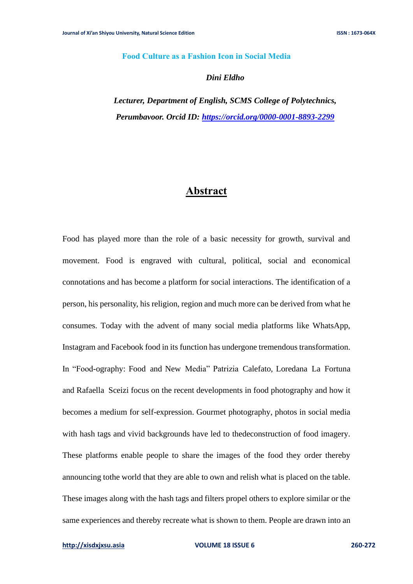### **Food Culture as a Fashion Icon in Social Media**

#### *Dini Eldho*

*Lecturer, Department of English, SCMS College of Polytechnics, Perumbavoor. Orcid ID:<https://orcid.org/0000-0001-8893-2299>*

# **Abstract**

Food has played more than the role of a basic necessity for growth, survival and movement. Food is engraved with cultural, political, social and economical connotations and has become a platform for social interactions. The identification of a person, his personality, his religion, region and much more can be derived from what he consumes. Today with the advent of many social media platforms like WhatsApp, Instagram and Facebook food in its function has undergone tremendous transformation. In "Food-ography: Food and New Media" Patrizia Calefato, Loredana La Fortuna and Rafaella Sceizi focus on the recent developments in food photography and how it becomes a medium for self-expression. Gourmet photography, photos in social media with hash tags and vivid backgrounds have led to thedeconstruction of food imagery. These platforms enable people to share the images of the food they order thereby announcing tothe world that they are able to own and relish what is placed on the table. These images along with the hash tags and filters propel others to explore similar or the same experiences and thereby recreate what is shown to them. People are drawn into an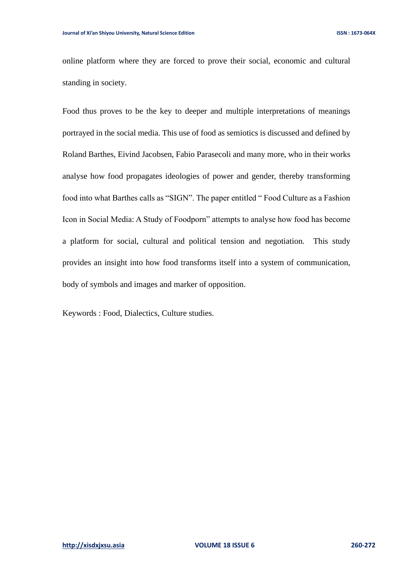online platform where they are forced to prove their social, economic and cultural standing in society.

Food thus proves to be the key to deeper and multiple interpretations of meanings portrayed in the social media. This use of food as semiotics is discussed and defined by Roland Barthes, Eivind Jacobsen, Fabio Parasecoli and many more, who in their works analyse how food propagates ideologies of power and gender, thereby transforming food into what Barthes calls as "SIGN". The paper entitled " Food Culture as a Fashion Icon in Social Media: A Study of Foodporn" attempts to analyse how food has become a platform for social, cultural and political tension and negotiation. This study provides an insight into how food transforms itself into a system of communication, body of symbols and images and marker of opposition.

Keywords : Food, Dialectics, Culture studies.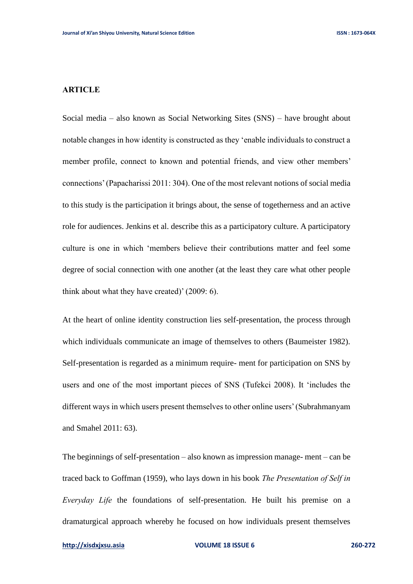### **ARTICLE**

Social media – also known as Social Networking Sites (SNS) – have brought about notable changes in how identity is constructed as they 'enable individuals to construct a member profile, connect to known and potential friends, and view other members' connections' (Papacharissi 2011: 304). One of the most relevant notions of social media to this study is the participation it brings about, the sense of togetherness and an active role for audiences. Jenkins et al. describe this as a participatory culture. A participatory culture is one in which 'members believe their contributions matter and feel some degree of social connection with one another (at the least they care what other people think about what they have created)' (2009: 6).

At the heart of online identity construction lies self-presentation, the process through which individuals communicate an image of themselves to others (Baumeister 1982). Self-presentation is regarded as a minimum require- ment for participation on SNS by users and one of the most important pieces of SNS (Tufekci 2008). It 'includes the different ways in which users present themselves to other online users' (Subrahmanyam and Smahel 2011: 63).

The beginnings of self-presentation – also known as impression manage- ment – can be traced back to Goffman (1959), who lays down in his book *The Presentation of Self in Everyday Life* the foundations of self-presentation. He built his premise on a dramaturgical approach whereby he focused on how individuals present themselves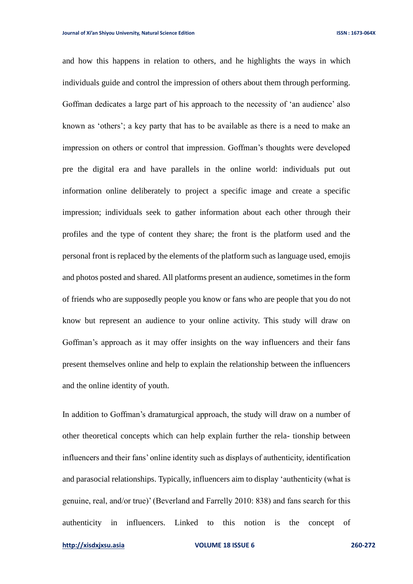and how this happens in relation to others, and he highlights the ways in which individuals guide and control the impression of others about them through performing. Goffman dedicates a large part of his approach to the necessity of 'an audience' also known as 'others'; a key party that has to be available as there is a need to make an impression on others or control that impression. Goffman's thoughts were developed pre the digital era and have parallels in the online world: individuals put out information online deliberately to project a specific image and create a specific impression; individuals seek to gather information about each other through their profiles and the type of content they share; the front is the platform used and the personal front is replaced by the elements of the platform such as language used, emojis and photos posted and shared. All platforms present an audience, sometimes in the form of friends who are supposedly people you know or fans who are people that you do not know but represent an audience to your online activity. This study will draw on Goffman's approach as it may offer insights on the way influencers and their fans present themselves online and help to explain the relationship between the influencers and the online identity of youth.

In addition to Goffman's dramaturgical approach, the study will draw on a number of other theoretical concepts which can help explain further the rela- tionship between influencers and their fans' online identity such as displays of authenticity, identification and parasocial relationships. Typically, influencers aim to display 'authenticity (what is genuine, real, and/or true)' (Beverland and Farrelly 2010: 838) and fans search for this authenticity in influencers. Linked to this notion is the concept of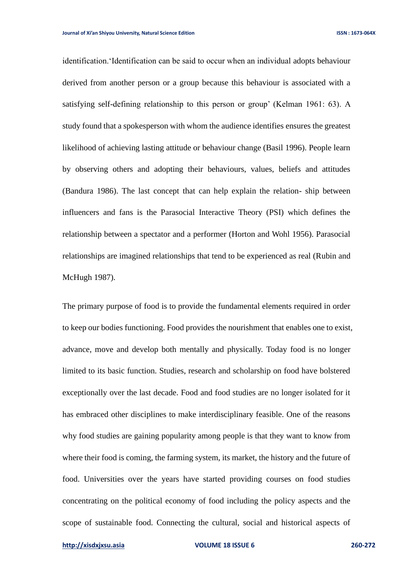identification.'Identification can be said to occur when an individual adopts behaviour derived from another person or a group because this behaviour is associated with a satisfying self-defining relationship to this person or group' (Kelman 1961: 63). A study found that a spokesperson with whom the audience identifies ensures the greatest likelihood of achieving lasting attitude or behaviour change (Basil 1996). People learn by observing others and adopting their behaviours, values, beliefs and attitudes (Bandura 1986). The last concept that can help explain the relation- ship between influencers and fans is the Parasocial Interactive Theory (PSI) which defines the relationship between a spectator and a performer (Horton and Wohl 1956). Parasocial relationships are imagined relationships that tend to be experienced as real (Rubin and McHugh 1987).

The primary purpose of food is to provide the fundamental elements required in order to keep our bodies functioning. Food provides the nourishment that enables one to exist, advance, move and develop both mentally and physically. Today food is no longer limited to its basic function. Studies, research and scholarship on food have bolstered exceptionally over the last decade. Food and food studies are no longer isolated for it has embraced other disciplines to make interdisciplinary feasible. One of the reasons why food studies are gaining popularity among people is that they want to know from where their food is coming, the farming system, its market, the history and the future of food. Universities over the years have started providing courses on food studies concentrating on the political economy of food including the policy aspects and the scope of sustainable food. Connecting the cultural, social and historical aspects of

**[http://xisdxjxsu.asia](http://xisdxjxsu.asia/) VOLUME 18 ISSUE 6 260-272**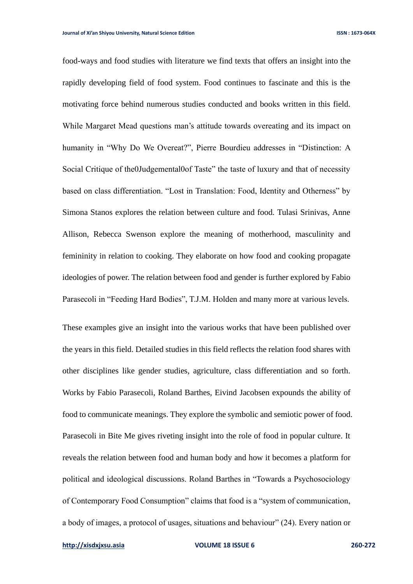food-ways and food studies with literature we find texts that offers an insight into the rapidly developing field of food system. Food continues to fascinate and this is the motivating force behind numerous studies conducted and books written in this field. While Margaret Mead questions man's attitude towards overeating and its impact on humanity in "Why Do We Overeat?", Pierre Bourdieu addresses in "Distinction: A Social Critique of the0Judgemental0of Taste" the taste of luxury and that of necessity based on class differentiation. "Lost in Translation: Food, Identity and Otherness" by Simona Stanos explores the relation between culture and food. Tulasi Srinivas, Anne Allison, Rebecca Swenson explore the meaning of motherhood, masculinity and femininity in relation to cooking. They elaborate on how food and cooking propagate ideologies of power. The relation between food and gender is further explored by Fabio Parasecoli in "Feeding Hard Bodies", T.J.M. Holden and many more at various levels.

These examples give an insight into the various works that have been published over the years in this field. Detailed studies in this field reflects the relation food shares with other disciplines like gender studies, agriculture, class differentiation and so forth. Works by Fabio Parasecoli, Roland Barthes, Eivind Jacobsen expounds the ability of food to communicate meanings. They explore the symbolic and semiotic power of food. Parasecoli in Bite Me gives riveting insight into the role of food in popular culture. It reveals the relation between food and human body and how it becomes a platform for political and ideological discussions. Roland Barthes in "Towards a Psychosociology of Contemporary Food Consumption" claims that food is a "system of communication, a body of images, a protocol of usages, situations and behaviour" (24). Every nation or

```
http://xisdxjxsu.asia VOLUME 18 ISSUE 6 260-272
```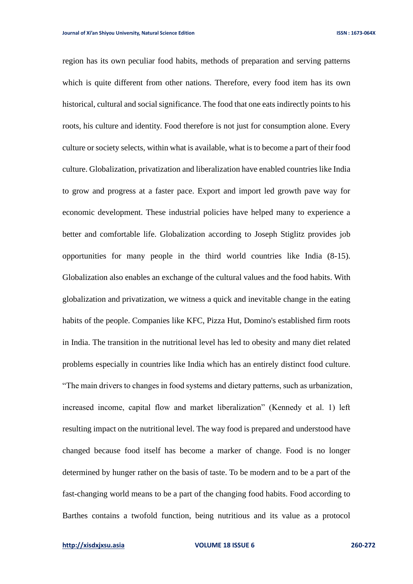region has its own peculiar food habits, methods of preparation and serving patterns which is quite different from other nations. Therefore, every food item has its own historical, cultural and social significance. The food that one eats indirectly points to his roots, his culture and identity. Food therefore is not just for consumption alone. Every culture or society selects, within what is available, what is to become a part of their food culture. Globalization, privatization and liberalization have enabled countries like India to grow and progress at a faster pace. Export and import led growth pave way for economic development. These industrial policies have helped many to experience a better and comfortable life. Globalization according to Joseph Stiglitz provides job opportunities for many people in the third world countries like India (8-15). Globalization also enables an exchange of the cultural values and the food habits. With globalization and privatization, we witness a quick and inevitable change in the eating habits of the people. Companies like KFC, Pizza Hut, Domino's established firm roots in India. The transition in the nutritional level has led to obesity and many diet related problems especially in countries like India which has an entirely distinct food culture. "The main drivers to changes in food systems and dietary patterns, such as urbanization, increased income, capital flow and market liberalization" (Kennedy et al. 1) left resulting impact on the nutritional level. The way food is prepared and understood have changed because food itself has become a marker of change. Food is no longer determined by hunger rather on the basis of taste. To be modern and to be a part of the fast-changing world means to be a part of the changing food habits. Food according to Barthes contains a twofold function, being nutritious and its value as a protocol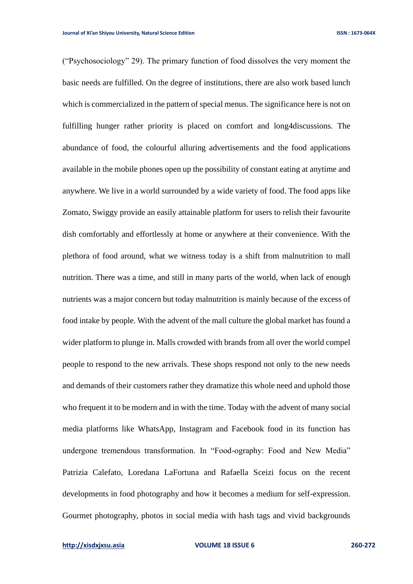("Psychosociology" 29). The primary function of food dissolves the very moment the basic needs are fulfilled. On the degree of institutions, there are also work based lunch which is commercialized in the pattern of special menus. The significance here is not on fulfilling hunger rather priority is placed on comfort and long4discussions. The abundance of food, the colourful alluring advertisements and the food applications available in the mobile phones open up the possibility of constant eating at anytime and anywhere. We live in a world surrounded by a wide variety of food. The food apps like Zomato, Swiggy provide an easily attainable platform for users to relish their favourite dish comfortably and effortlessly at home or anywhere at their convenience. With the plethora of food around, what we witness today is a shift from malnutrition to mall nutrition. There was a time, and still in many parts of the world, when lack of enough nutrients was a major concern but today malnutrition is mainly because of the excess of food intake by people. With the advent of the mall culture the global market has found a wider platform to plunge in. Malls crowded with brands from all over the world compel people to respond to the new arrivals. These shops respond not only to the new needs and demands of their customers rather they dramatize this whole need and uphold those who frequent it to be modern and in with the time. Today with the advent of many social media platforms like WhatsApp, Instagram and Facebook food in its function has undergone tremendous transformation. In "Food-ography: Food and New Media" Patrizia Calefato, Loredana LaFortuna and Rafaella Sceizi focus on the recent developments in food photography and how it becomes a medium for self-expression. Gourmet photography, photos in social media with hash tags and vivid backgrounds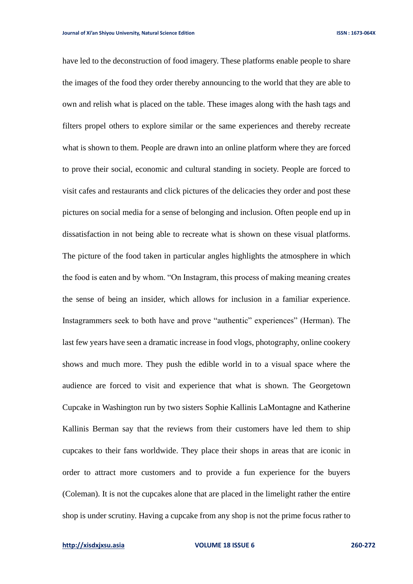have led to the deconstruction of food imagery. These platforms enable people to share the images of the food they order thereby announcing to the world that they are able to own and relish what is placed on the table. These images along with the hash tags and filters propel others to explore similar or the same experiences and thereby recreate what is shown to them. People are drawn into an online platform where they are forced to prove their social, economic and cultural standing in society. People are forced to visit cafes and restaurants and click pictures of the delicacies they order and post these pictures on social media for a sense of belonging and inclusion. Often people end up in dissatisfaction in not being able to recreate what is shown on these visual platforms. The picture of the food taken in particular angles highlights the atmosphere in which the food is eaten and by whom. "On Instagram, this process of making meaning creates the sense of being an insider, which allows for inclusion in a familiar experience. Instagrammers seek to both have and prove "authentic" experiences" (Herman). The last few years have seen a dramatic increase in food vlogs, photography, online cookery shows and much more. They push the edible world in to a visual space where the audience are forced to visit and experience that what is shown. The Georgetown Cupcake in Washington run by two sisters Sophie Kallinis LaMontagne and Katherine Kallinis Berman say that the reviews from their customers have led them to ship cupcakes to their fans worldwide. They place their shops in areas that are iconic in order to attract more customers and to provide a fun experience for the buyers (Coleman). It is not the cupcakes alone that are placed in the limelight rather the entire shop is under scrutiny. Having a cupcake from any shop is not the prime focus rather to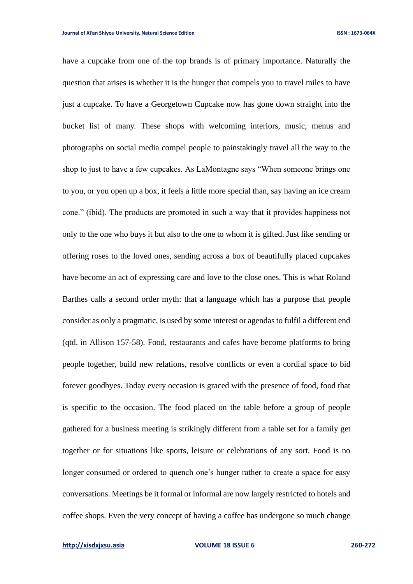have a cupcake from one of the top brands is of primary importance. Naturally the question that arises is whether it is the hunger that compels you to travel miles to have just a cupcake. To have a Georgetown Cupcake now has gone down straight into the bucket list of many. These shops with welcoming interiors, music, menus and photographs on social media compel people to painstakingly travel all the way to the shop to just to have a few cupcakes. As LaMontagne says "When someone brings one to you, or you open up a box, it feels a little more special than, say having an ice cream cone." (ibid). The products are promoted in such a way that it provides happiness not only to the one who buys it but also to the one to whom it is gifted. Just like sending or offering roses to the loved ones, sending across a box of beautifully placed cupcakes have become an act of expressing care and love to the close ones. This is what Roland Barthes calls a second order myth: that a language which has a purpose that people consider as only a pragmatic, is used by some interest or agendas to fulfil a different end (qtd. in Allison 157-58). Food, restaurants and cafes have become platforms to bring people together, build new relations, resolve conflicts or even a cordial space to bid forever goodbyes. Today every occasion is graced with the presence of food, food that is specific to the occasion. The food placed on the table before a group of people gathered for a business meeting is strikingly different from a table set for a family get together or for situations like sports, leisure or celebrations of any sort. Food is no longer consumed or ordered to quench one's hunger rather to create a space for easy conversations. Meetings be it formal or informal are now largely restricted to hotels and coffee shops. Even the very concept of having a coffee has undergone so much change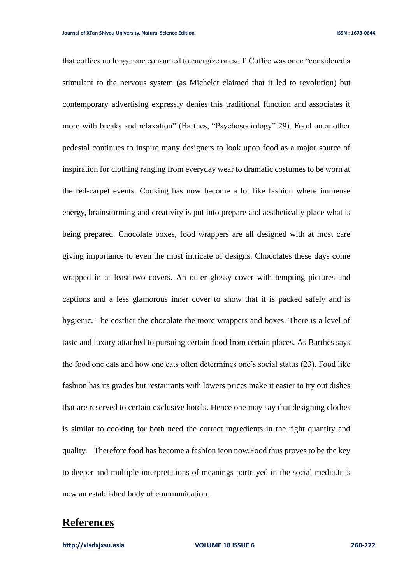that coffees no longer are consumed to energize oneself. Coffee was once "considered a stimulant to the nervous system (as Michelet claimed that it led to revolution) but contemporary advertising expressly denies this traditional function and associates it more with breaks and relaxation" (Barthes, "Psychosociology" 29). Food on another pedestal continues to inspire many designers to look upon food as a major source of inspiration for clothing ranging from everyday wear to dramatic costumes to be worn at the red-carpet events. Cooking has now become a lot like fashion where immense energy, brainstorming and creativity is put into prepare and aesthetically place what is being prepared. Chocolate boxes, food wrappers are all designed with at most care giving importance to even the most intricate of designs. Chocolates these days come wrapped in at least two covers. An outer glossy cover with tempting pictures and captions and a less glamorous inner cover to show that it is packed safely and is hygienic. The costlier the chocolate the more wrappers and boxes. There is a level of taste and luxury attached to pursuing certain food from certain places. As Barthes says the food one eats and how one eats often determines one's social status (23). Food like fashion has its grades but restaurants with lowers prices make it easier to try out dishes that are reserved to certain exclusive hotels. Hence one may say that designing clothes is similar to cooking for both need the correct ingredients in the right quantity and quality. Therefore food has become a fashion icon now.Food thus proves to be the key to deeper and multiple interpretations of meanings portrayed in the social media.It is now an established body of communication.

## **References**

**[http://xisdxjxsu.asia](http://xisdxjxsu.asia/) VOLUME 18 ISSUE 6 260-272**